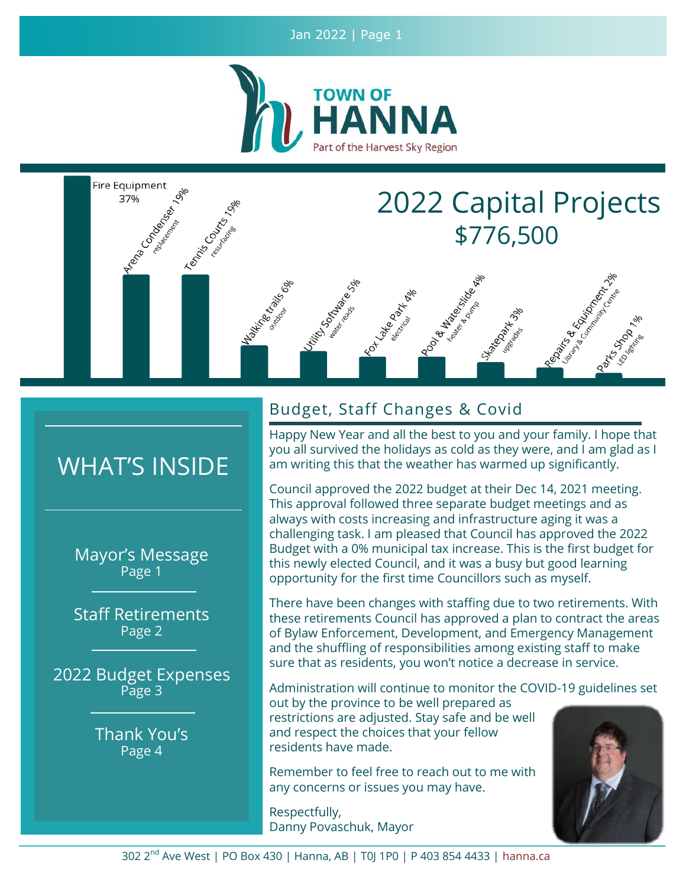Jan 2022 | Page 1



OS ORTHUR RIS

Hapital River

# 2022 Capital Projects \$776,500

Raging & Richard River

**Cancer de Edition Repairs** 

# WHAT'S INSIDE

Fire Equipment

37%

**Manufacture Report** 

relation Rep

Templation of the Date

**Martinical Strains** 

Mayor's Message Page 1

Staff Retirements Page 2

2022 Budget Expenses Page 3

> Thank You's Page 4

# Budget, Staff Changes & Covid

TO LINE BOTH MAD

Happy New Year and all the best to you and your family. I hope that you all survived the holidays as cold as they were, and I am glad as I am writing this that the weather has warmed up significantly.

Pood All Maconsider

Tomator Bridge

Council approved the 2022 budget at their Dec 14, 2021 meeting. This approval followed three separate budget meetings and as always with costs increasing and infrastructure aging it was a challenging task. I am pleased that Council has approved the 2022 Budget with a 0% municipal tax increase. This is the first budget for this newly elected Council, and it was a busy but good learning opportunity for the first time Councillors such as myself.

There have been changes with staffing due to two retirements. With these retirements Council has approved a plan to contract the areas of Bylaw Enforcement, Development, and Emergency Management and the shuffling of responsibilities among existing staff to make sure that as residents, you won't notice a decrease in service.

Administration will continue to monitor the COVID-19 guidelines set

out by the province to be well prepared as restrictions are adjusted. Stay safe and be well and respect the choices that your fellow residents have made.

Remember to feel free to reach out to me with any concerns or issues you may have.

Respectfully, Danny Povaschuk, Mayor

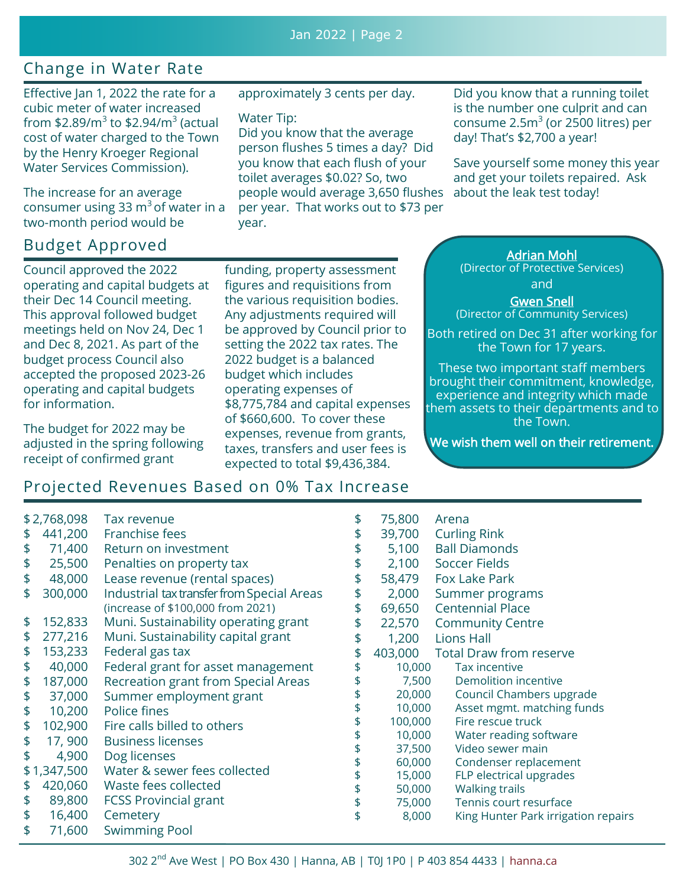## Change in Water Rate

Effective Jan 1, 2022 the rate for a cubic meter of water increased from \$2.89/m $^3$  to \$2.94/m $^3$  (actual cost of water charged to the Town by the Henry Kroeger Regional Water Services Commission).

The increase for an average consumer using 33  $\text{m}^3$  of water in a two-month period would be

# Budget Approved Andrew Adrian Mohl

Council approved the 2022 operating and capital budgets at their Dec 14 Council meeting. This approval followed budget meetings held on Nov 24, Dec 1 and Dec 8, 2021. As part of the budget process Council also accepted the proposed 2023-26 operating and capital budgets for information.

The budget for 2022 may be adjusted in the spring following receipt of confirmed grant

approximately 3 cents per day.

#### Water Tip:

Did you know that the average person flushes 5 times a day? Did you know that each flush of your toilet averages \$0.02? So, two people would average 3,650 flushes per year. That works out to \$73 per year.

Did you know that a running toilet is the number one culprit and can consume  $2.5<sup>3</sup>$  (or 2500 litres) per day! That's \$2,700 a year!

Save yourself some money this year and get your toilets repaired. Ask about the leak test today!

funding, property assessment figures and requisitions from the various requisition bodies. Any adjustments required will be approved by Council prior to setting the 2022 tax rates. The 2022 budget is a balanced budget which includes operating expenses of \$8,775,784 and capital expenses of \$660,600. To cover these expenses, revenue from grants, taxes, transfers and user fees is expected to total \$9,436,384.

(Director of Protective Services)

and

Gwen Snell (Director of Community Services)

Both retired on Dec 31 after working for the Town for 17 years.

These two important staff members brought their commitment, knowledge, experience and integrity which made them assets to their departments and to the Town.

We wish them well on their retirement.

repairs

## Projected Revenues Based on 0% Tax Increase

| \$2,768,098 |             | Tax revenue                                | \$<br>75,800  | Arena                          |
|-------------|-------------|--------------------------------------------|---------------|--------------------------------|
| \$          | 441,200     | Franchise fees                             | \$<br>39,700  | <b>Curling Rink</b>            |
| \$          | 71,400      | Return on investment                       | \$<br>5,100   | <b>Ball Diamonds</b>           |
| \$          | 25,500      | Penalties on property tax                  | \$<br>2,100   | <b>Soccer Fields</b>           |
| \$          | 48,000      | Lease revenue (rental spaces)              | \$<br>58,479  | <b>Fox Lake Park</b>           |
| \$          | 300,000     | Industrial tax transfer from Special Areas | \$<br>2,000   | Summer programs                |
|             |             | (increase of \$100,000 from 2021)          | \$<br>69,650  | <b>Centennial Place</b>        |
| \$          | 152,833     | Muni. Sustainability operating grant       | \$<br>22,570  | <b>Community Centre</b>        |
| \$          | 277,216     | Muni. Sustainability capital grant         | \$<br>1,200   | <b>Lions Hall</b>              |
| \$          | 153,233     | Federal gas tax                            | \$<br>403,000 | <b>Total Draw from reserve</b> |
| \$          | 40,000      | Federal grant for asset management         | \$<br>10,000  | Tax incentive                  |
| \$          | 187,000     | Recreation grant from Special Areas        | 7,500         | <b>Demolition incentive</b>    |
| \$          | 37,000      | Summer employment grant                    | 20,000        | Council Chambers upgrade       |
| \$          | 10,200      | Police fines                               | 10,000        | Asset mgmt. matching funds     |
| \$          | 102,900     | Fire calls billed to others                | 100,000       | Fire rescue truck              |
| \$          | 17,900      | <b>Business licenses</b>                   | 10,000        | Water reading software         |
| \$          | 4,900       | Dog licenses                               | 37,500        | Video sewer main               |
|             |             |                                            | 60,000        | Condenser replacement          |
|             | \$1,347,500 | Water & sewer fees collected               | 15,000        | FLP electrical upgrades        |
| \$          | 420,060     | Waste fees collected                       | 50,000        | <b>Walking trails</b>          |
| \$          | 89,800      | <b>FCSS Provincial grant</b>               | \$<br>75,000  | Tennis court resurface         |
| \$          | 16,400      | Cemetery                                   | \$<br>8,000   | King Hunter Park irrigation re |
| \$          | 71,600      | <b>Swimming Pool</b>                       |               |                                |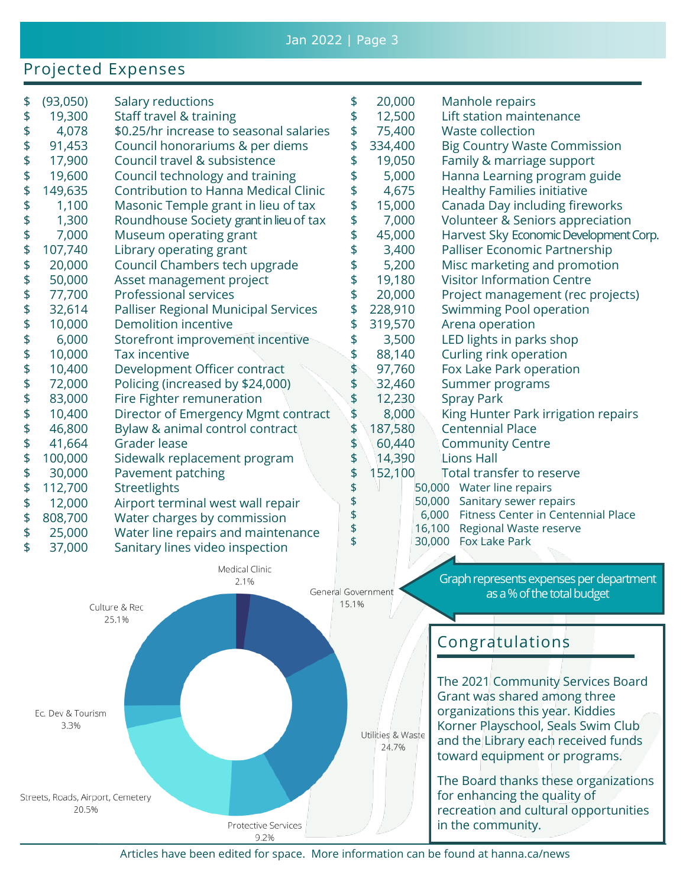### Projected Expenses

|         |                                                                               |                                                                                                                                                                                                                                                                                                                    |                                                                                                                      | Manhole repairs                                                             |
|---------|-------------------------------------------------------------------------------|--------------------------------------------------------------------------------------------------------------------------------------------------------------------------------------------------------------------------------------------------------------------------------------------------------------------|----------------------------------------------------------------------------------------------------------------------|-----------------------------------------------------------------------------|
|         |                                                                               |                                                                                                                                                                                                                                                                                                                    |                                                                                                                      | Lift station maintenance                                                    |
|         |                                                                               |                                                                                                                                                                                                                                                                                                                    |                                                                                                                      | <b>Waste collection</b>                                                     |
|         |                                                                               |                                                                                                                                                                                                                                                                                                                    |                                                                                                                      | <b>Big Country Waste Commission</b>                                         |
|         | Council travel & subsistence                                                  | \$                                                                                                                                                                                                                                                                                                                 |                                                                                                                      | Family & marriage support                                                   |
|         |                                                                               |                                                                                                                                                                                                                                                                                                                    |                                                                                                                      | Hanna Learning program guide                                                |
|         | <b>Contribution to Hanna Medical Clinic</b>                                   |                                                                                                                                                                                                                                                                                                                    | 4,675                                                                                                                | <b>Healthy Families initiative</b>                                          |
| 1,100   |                                                                               |                                                                                                                                                                                                                                                                                                                    |                                                                                                                      | Canada Day including fireworks                                              |
|         |                                                                               |                                                                                                                                                                                                                                                                                                                    | 7,000                                                                                                                | Volunteer & Seniors appreciation                                            |
| 7,000   | Museum operating grant                                                        | \$                                                                                                                                                                                                                                                                                                                 | 45,000                                                                                                               | Harvest Sky Economic Development Corp.                                      |
| 107,740 | Library operating grant                                                       | \$                                                                                                                                                                                                                                                                                                                 | 3,400                                                                                                                | Palliser Economic Partnership                                               |
| 20,000  | Council Chambers tech upgrade                                                 | \$                                                                                                                                                                                                                                                                                                                 | 5,200                                                                                                                | Misc marketing and promotion                                                |
| 50,000  | Asset management project                                                      | \$                                                                                                                                                                                                                                                                                                                 | 19,180                                                                                                               | <b>Visitor Information Centre</b>                                           |
| 77,700  | Professional services                                                         | \$                                                                                                                                                                                                                                                                                                                 | 20,000                                                                                                               | Project management (rec projects)                                           |
| 32,614  | Palliser Regional Municipal Services                                          | \$                                                                                                                                                                                                                                                                                                                 | 228,910                                                                                                              | <b>Swimming Pool operation</b>                                              |
| 10,000  | <b>Demolition incentive</b>                                                   |                                                                                                                                                                                                                                                                                                                    | 319,570                                                                                                              | Arena operation                                                             |
| 6,000   | Storefront improvement incentive                                              |                                                                                                                                                                                                                                                                                                                    | 3,500                                                                                                                | LED lights in parks shop                                                    |
| 10,000  | <b>Tax incentive</b>                                                          |                                                                                                                                                                                                                                                                                                                    | 88,140                                                                                                               | Curling rink operation                                                      |
| 10,400  | Development Officer contract                                                  |                                                                                                                                                                                                                                                                                                                    | 97,760                                                                                                               | Fox Lake Park operation                                                     |
| 72,000  | Policing (increased by \$24,000)                                              |                                                                                                                                                                                                                                                                                                                    | 32,460                                                                                                               | Summer programs                                                             |
| 83,000  | Fire Fighter remuneration                                                     |                                                                                                                                                                                                                                                                                                                    | 12,230                                                                                                               | <b>Spray Park</b>                                                           |
| 10,400  | Director of Emergency Mgmt contract                                           |                                                                                                                                                                                                                                                                                                                    |                                                                                                                      | King Hunter Park irrigation repairs                                         |
| 46,800  |                                                                               |                                                                                                                                                                                                                                                                                                                    | 187,580                                                                                                              | <b>Centennial Place</b>                                                     |
| 41,664  | Grader lease                                                                  | \$                                                                                                                                                                                                                                                                                                                 | 60,440                                                                                                               | <b>Community Centre</b>                                                     |
| 100,000 |                                                                               | \$                                                                                                                                                                                                                                                                                                                 | 14,390                                                                                                               | <b>Lions Hall</b>                                                           |
| 30,000  | Pavement patching                                                             | \$                                                                                                                                                                                                                                                                                                                 | 152,100                                                                                                              | Total transfer to reserve                                                   |
| 112,700 | Streetlights                                                                  |                                                                                                                                                                                                                                                                                                                    |                                                                                                                      | Water line repairs<br>50,000                                                |
| 12,000  | Airport terminal west wall repair                                             |                                                                                                                                                                                                                                                                                                                    |                                                                                                                      | Sanitary sewer repairs<br>50,000                                            |
| 808,700 | Water charges by commission                                                   |                                                                                                                                                                                                                                                                                                                    |                                                                                                                      | Fitness Center in Centennial Place<br>6,000                                 |
| 25,000  | Water line repairs and maintenance                                            |                                                                                                                                                                                                                                                                                                                    |                                                                                                                      | 16,100<br>Regional Waste reserve                                            |
| 37,000  | Sanitary lines video inspection                                               |                                                                                                                                                                                                                                                                                                                    |                                                                                                                      | <b>Fox Lake Park</b><br>30,000                                              |
|         | (93,050)<br>19,300<br>4,078<br>91,453<br>17,900<br>19,600<br>149,635<br>1,300 | Salary reductions<br>Staff travel & training<br>\$0.25/hr increase to seasonal salaries<br>Council honorariums & per diems<br>Council technology and training<br>Masonic Temple grant in lieu of tax<br>Roundhouse Society grant in lieu of tax<br>Bylaw & animal control contract<br>Sidewalk replacement program | \$<br>\$<br>\$<br>\$<br>\$<br>\$<br>\$<br>\$<br>\$<br>\$<br>\$<br>\$<br>\$<br>\$<br>\$<br>\$<br>\$<br>\$<br>\$<br>\$ | 20,000<br>12,500<br>75,400<br>334,400<br>19,050<br>5,000<br>15,000<br>8,000 |



Articles have been edited for space. More information can be found at hanna.ca/news